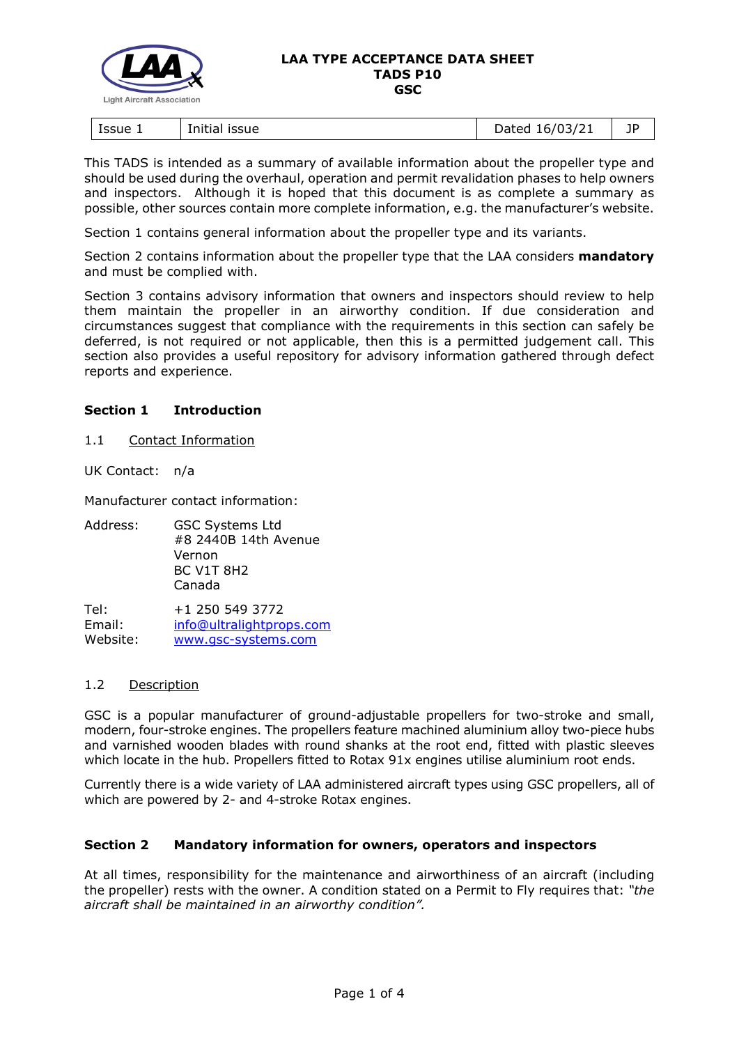

#### **LAA TYPE ACCEPTANCE DATA SHEET TADS P10 GSC**

| Issue 1 | <b>ISSUE</b> | 16/03/21 | 1P |
|---------|--------------|----------|----|
|         | Initial      | Dated    |    |

This TADS is intended as a summary of available information about the propeller type and should be used during the overhaul, operation and permit revalidation phases to help owners and inspectors. Although it is hoped that this document is as complete a summary as possible, other sources contain more complete information, e.g. the manufacturer's website.

Section 1 contains general information about the propeller type and its variants.

Section 2 contains information about the propeller type that the LAA considers **mandatory** and must be complied with.

Section 3 contains advisory information that owners and inspectors should review to help them maintain the propeller in an airworthy condition. If due consideration and circumstances suggest that compliance with the requirements in this section can safely be deferred, is not required or not applicable, then this is a permitted judgement call. This section also provides a useful repository for advisory information gathered through defect reports and experience.

### **Section 1 Introduction**

1.1 Contact Information

UK Contact: n/a

Manufacturer contact information:

Address: GSC Systems Ltd #8 2440B 14th Avenue Vernon BC V1T 8H2 Canada

Tel: +1 250 549 3772 Email: [info@ultralightprops.com](mailto:info@ultralightprops.com) Website: [www.gsc-systems.com](https://www.gsc-systems.com/)

# 1.2 Description

GSC is a popular manufacturer of ground-adjustable propellers for two-stroke and small, modern, four-stroke engines. The propellers feature machined aluminium alloy two-piece hubs and varnished wooden blades with round shanks at the root end, fitted with plastic sleeves which locate in the hub. Propellers fitted to Rotax 91x engines utilise aluminium root ends.

Currently there is a wide variety of LAA administered aircraft types using GSC propellers, all of which are powered by 2- and 4-stroke Rotax engines.

### **Section 2 Mandatory information for owners, operators and inspectors**

At all times, responsibility for the maintenance and airworthiness of an aircraft (including the propeller) rests with the owner. A condition stated on a Permit to Fly requires that: *"the aircraft shall be maintained in an airworthy condition".*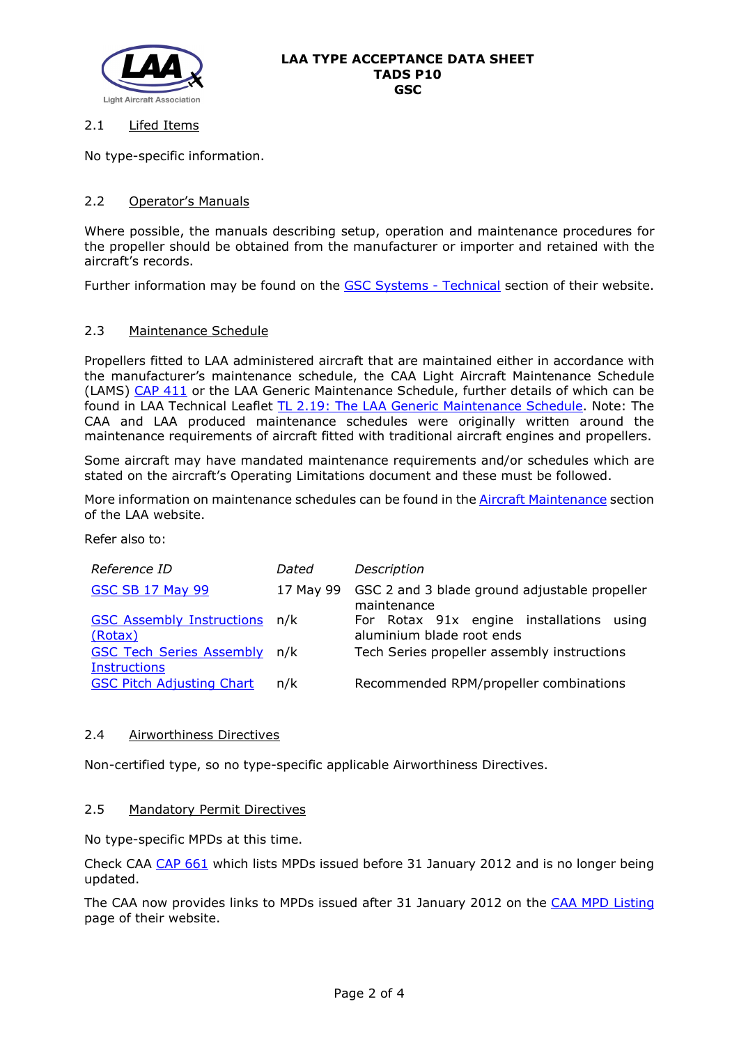

# 2.1 Lifed Items

No type-specific information.

# 2.2 Operator's Manuals

Where possible, the manuals describing setup, operation and maintenance procedures for the propeller should be obtained from the manufacturer or importer and retained with the aircraft's records.

Further information may be found on the **GSC Systems - Technical** section of their website.

### 2.3 Maintenance Schedule

Propellers fitted to LAA administered aircraft that are maintained either in accordance with the manufacturer's maintenance schedule, the CAA Light Aircraft Maintenance Schedule (LAMS) [CAP 411](http://www.caa.co.uk/CAP411) or the LAA Generic Maintenance Schedule, further details of which can be found in LAA Technical Leaflet [TL 2.19: The LAA Generic Maintenance Schedule.](http://www.lightaircraftassociation.co.uk/engineering/TechnicalLeaflets/Operating%20An%20Aircraft/TL%202.19%20The%20LAA%20Generic%20Maintenance%20Schedule.pdf) Note: The CAA and LAA produced maintenance schedules were originally written around the maintenance requirements of aircraft fitted with traditional aircraft engines and propellers.

Some aircraft may have mandated maintenance requirements and/or schedules which are stated on the aircraft's Operating Limitations document and these must be followed.

More information on maintenance schedules can be found in the [Aircraft Maintenance](http://www.lightaircraftassociation.co.uk/engineering/Maintenance/Aircraft_Maintenance.html) section of the LAA website.

Refer also to:

| Reference ID                                               | Dated     | Description                                                           |
|------------------------------------------------------------|-----------|-----------------------------------------------------------------------|
| <b>GSC SB 17 May 99</b>                                    | 17 May 99 | GSC 2 and 3 blade ground adjustable propeller<br>maintenance          |
| <b>GSC Assembly Instructions</b><br>(Rotax)                | n/k       | For Rotax 91x engine installations using<br>aluminium blade root ends |
| <b>GSC Tech Series Assembly n/k</b><br><b>Instructions</b> |           | Tech Series propeller assembly instructions                           |
| <b>GSC Pitch Adjusting Chart</b>                           | n/k       | Recommended RPM/propeller combinations                                |

### 2.4 Airworthiness Directives

Non-certified type, so no type-specific applicable Airworthiness Directives.

### 2.5 Mandatory Permit Directives

No type-specific MPDs at this time.

Check CAA [CAP 661](http://www.caa.co.uk/cap661) which lists MPDs issued before 31 January 2012 and is no longer being updated.

The CAA now provides links to MPDs issued after 31 January 2012 on the [CAA MPD Listing](http://publicapps.caa.co.uk/modalapplication.aspx?appid=11&mode=list&type=sercat&id=55) page of their website.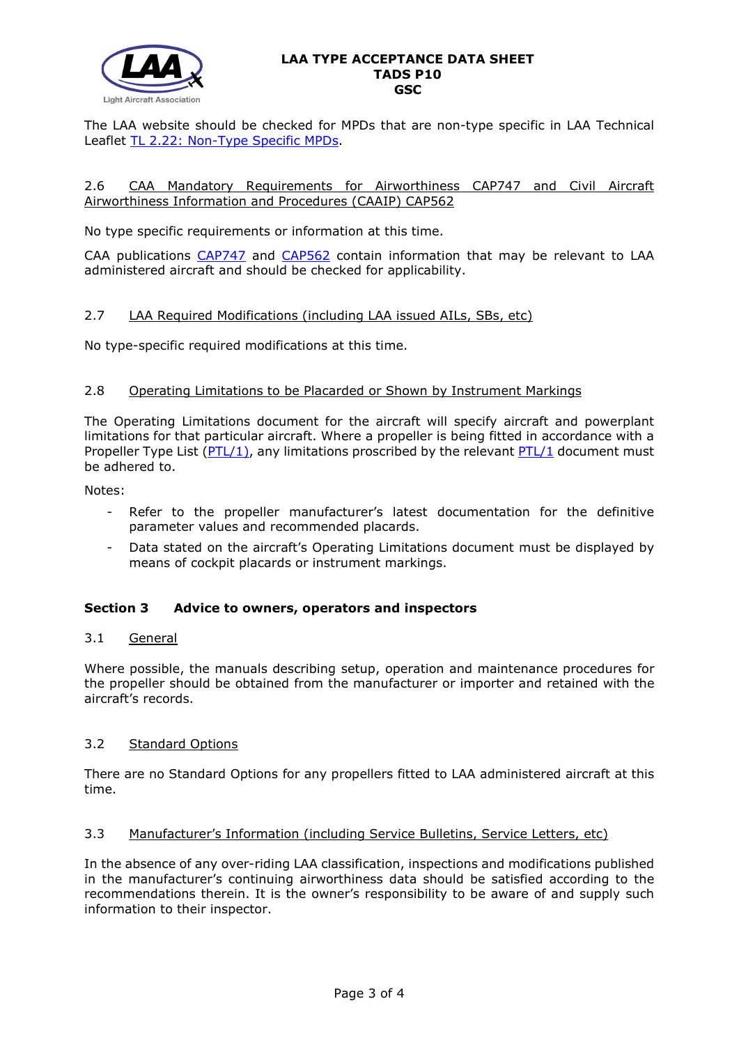

#### **LAA TYPE ACCEPTANCE DATA SHEET TADS P10 GSC**

The LAA website should be checked for MPDs that are non-type specific in LAA Technical Leaflet [TL 2.22: Non-Type Specific MPDs.](http://www.lightaircraftassociation.co.uk/engineering/TechnicalLeaflets/Operating%20An%20Aircraft/TL%202.22%20non-type%20specific%20MPDs.pdf)

### 2.6 CAA Mandatory Requirements for Airworthiness CAP747 and Civil Aircraft Airworthiness Information and Procedures (CAAIP) CAP562

No type specific requirements or information at this time.

CAA publications [CAP747](http://www.caa.co.uk/CAP747) and [CAP562](http://www.caa.co.uk/CAP562) contain information that may be relevant to LAA administered aircraft and should be checked for applicability.

### 2.7 LAA Required Modifications (including LAA issued AILs, SBs, etc)

No type-specific required modifications at this time.

### 2.8 Operating Limitations to be Placarded or Shown by Instrument Markings

The Operating Limitations document for the aircraft will specify aircraft and powerplant limitations for that particular aircraft. Where a propeller is being fitted in accordance with a Propeller Type List  $(PTL/1)$ , any limitations proscribed by the relevant  $PTL/1$  document must be adhered to.

Notes:

- Refer to the propeller manufacturer's latest documentation for the definitive parameter values and recommended placards.
- Data stated on the aircraft's Operating Limitations document must be displayed by means of cockpit placards or instrument markings.

### **Section 3 Advice to owners, operators and inspectors**

### 3.1 General

Where possible, the manuals describing setup, operation and maintenance procedures for the propeller should be obtained from the manufacturer or importer and retained with the aircraft's records.

# 3.2 Standard Options

There are no Standard Options for any propellers fitted to LAA administered aircraft at this time.

### 3.3 Manufacturer's Information (including Service Bulletins, Service Letters, etc)

In the absence of any over-riding LAA classification, inspections and modifications published in the manufacturer's continuing airworthiness data should be satisfied according to the recommendations therein. It is the owner's responsibility to be aware of and supply such information to their inspector.